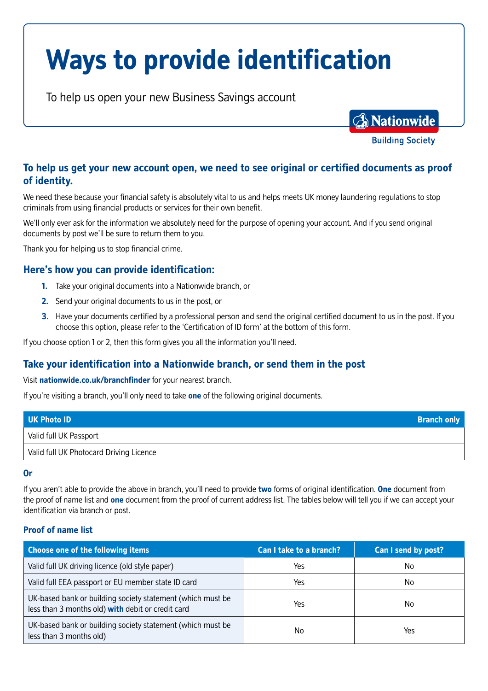# **Ways to provide identification**

To help us open your new Business Savings account

**A** Nationwide

**Building Society** 

# **To help us get your new account open, we need to see original or certified documents as proof of identity.**

We need these because your financial safety is absolutely vital to us and helps meets UK money laundering regulations to stop criminals from using financial products or services for their own benefit.

We'll only ever ask for the information we absolutely need for the purpose of opening your account. And if you send original documents by post we'll be sure to return them to you.

Thank you for helping us to stop financial crime.

### **Here's how you can provide identification:**

- **1.** Take your original documents into a Nationwide branch, or
- **2.** Send your original documents to us in the post, or
- **3.** Have your documents certified by a professional person and send the original certified document to us in the post. If you choose this option, please refer to the 'Certification of ID form' at the bottom of this form.

If you choose option 1 or 2, then this form gives you all the information you'll need.

## **Take your identification into a Nationwide branch, or send them in the post**

Visit **nationwide.co.uk/branchfinder** for your nearest branch.

If you're visiting a branch, you'll only need to take **one** of the following original documents.

| UK Photo ID                             | <b>Branch only</b> |
|-----------------------------------------|--------------------|
| Valid full UK Passport                  |                    |
| Valid full UK Photocard Driving Licence |                    |

#### **Or**

If you aren't able to provide the above in branch, you'll need to provide **two** forms of original identification. **One** document from the proof of name list and **one** document from the proof of current address list. The tables below will tell you if we can accept your identification via branch or post.

#### **Proof of name list**

| <b>Choose one of the following items</b>                                                                        | Can I take to a branch? | Can I send by post? |
|-----------------------------------------------------------------------------------------------------------------|-------------------------|---------------------|
| Valid full UK driving licence (old style paper)                                                                 | Yes                     | No                  |
| Valid full EEA passport or EU member state ID card                                                              | Yes                     | No                  |
| UK-based bank or building society statement (which must be<br>less than 3 months old) with debit or credit card | Yes                     | No                  |
| UK-based bank or building society statement (which must be<br>less than 3 months old)                           | No.                     | Yes                 |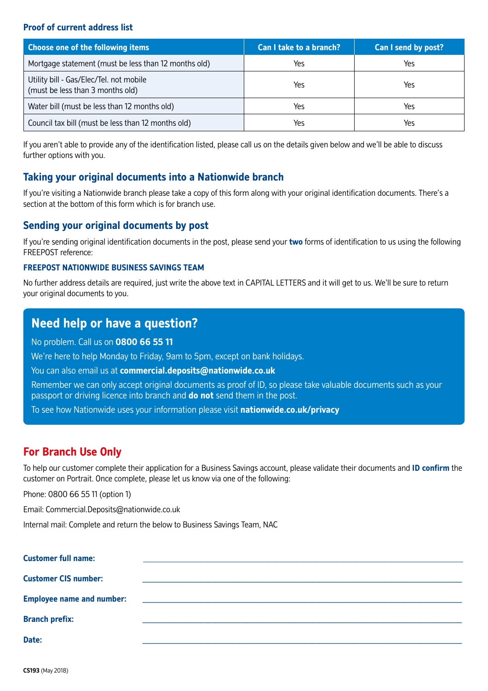#### **Proof of current address list**

| Choose one of the following items                                           | Can I take to a branch? | Can I send by post? |
|-----------------------------------------------------------------------------|-------------------------|---------------------|
| Mortgage statement (must be less than 12 months old)                        | Yes                     | Yes                 |
| Utility bill - Gas/Elec/Tel. not mobile<br>(must be less than 3 months old) | Yes                     | Yes                 |
| Water bill (must be less than 12 months old)                                | Yes                     | Yes                 |
| Council tax bill (must be less than 12 months old)                          | Yes                     | Yes                 |

If you aren't able to provide any of the identification listed, please call us on the details given below and we'll be able to discuss further options with you.

## **Taking your original documents into a Nationwide branch**

If you're visiting a Nationwide branch please take a copy of this form along with your original identification documents. There's a section at the bottom of this form which is for branch use.

## **Sending your original documents by post**

If you're sending original identification documents in the post, please send your **two** forms of identification to us using the following FREEPOST reference:

#### **FREEPOST NATIONWIDE BUSINESS SAVINGS TEAM**

No further address details are required, just write the above text in CAPITAL LETTERS and it will get to us. We'll be sure to return your original documents to you.

# **Need help or have a question?**

No problem. Call us on **0800 66 55 11** 

We're here to help Monday to Friday, 9am to 5pm, except on bank holidays.

You can also email us at **commercial.deposits@nationwide.co.uk**

Remember we can only accept original documents as proof of ID, so please take valuable documents such as your passport or driving licence into branch and **do not** send them in the post.

To see how Nationwide uses your information please visit **nationwide.co.uk/privacy**

# **For Branch Use Only**

To help our customer complete their application for a Business Savings account, please validate their documents and **ID confirm** the customer on Portrait. Once complete, please let us know via one of the following:

Phone: 0800 66 55 11 (option 1)

Email: Commercial.Deposits@nationwide.co.uk

Internal mail: Complete and return the below to Business Savings Team, NAC

| <b>Customer full name:</b>       |                                                           |
|----------------------------------|-----------------------------------------------------------|
|                                  |                                                           |
| <b>Customer CIS number:</b>      |                                                           |
|                                  |                                                           |
| <b>Employee name and number:</b> | <u> 1980 - Andrea Andrewski, fransk politik (d. 1980)</u> |
| <b>Branch prefix:</b>            |                                                           |
|                                  |                                                           |
| Date:                            |                                                           |